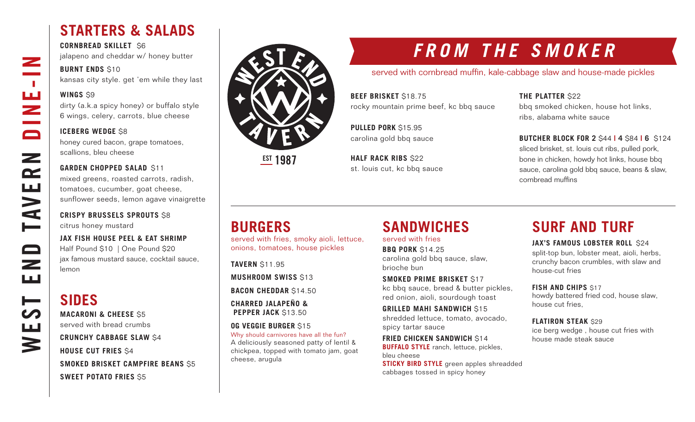## **STARTERS & SALADS**

**CORNBREAD SKILLET** \$6 jalapeno and cheddar w/ honey butter

#### **BURNT ENDS \$10**

kansas city style. get 'em while they last

#### **WINGS** \$9

dirty (a.k.a spicy honey) or buffalo style 6 wings, celery, carrots, blue cheese

#### **ICEBERG WEDGE \$8**

honey cured bacon, grape tomatoes, scallions, bleu cheese

#### **GARDEN CHOPPED SALAD \$11**

mixed greens, roasted carrots, radish, tomatoes, cucumber, goat cheese, sunflower seeds, lemon agave vinaigrette

**CRISPY BRUSSELS SPROUTS** \$8 citrus honey mustard

**JAX FISH HOUSE PEEL & EAT SHRIMP** Half Pound \$10 | One Pound \$20 jax famous mustard sauce, cocktail sauce, lemon

### **SIDES**

**MACARONI & CHEESE** \$5 served with bread crumbs

**CRUNCHY CABBAGE SLAW** \$4 **HOUSE CUT FRIES** \$4 **SMOKED BRISKET CAMPFIRE BEANS** \$5 **SWEET POTATO FRIES** \$5



**EST 1987** 

## **FROM THE SMOKER**

served with cornbread muffin, kale-cabbage slaw and house-made pickles

**BEEF BRISKET** \$18.75 rocky mountain prime beef, kc bbq sauce

**PULLED PORK** \$15.95 carolina gold bbq sauce

**HALF RACK RIBS** \$22 st. louis cut, kc bbq sauce

#### **THE PLATTER** \$22

bbq smoked chicken, house hot links, ribs, alabama white sauce

**BUTCHER BLOCK FOR 2** \$44 **| 4** \$84 **| 6** \$124

sliced brisket, st. louis cut ribs, pulled pork, bone in chicken, howdy hot links, house bbq sauce, carolina gold bbq sauce, beans & slaw, cornbread muffins

## **BURGERS**

served with fries, smoky aioli, lettuce, onions, tomatoes, house pickles

**TAVERN** \$11.95

**MUSHROOM SWISS** \$13

**BACON CHEDDAR** \$14.50

**CHARRED JALAPEÑO & PEPPER JACK** \$13.50

#### **OG VEGGIE BURGER** \$15

Why should carnivores have all the fun? A deliciously seasoned patty of lentil & chickpea, topped with tomato jam, goat cheese, arugula

## **SANDWICHES**

served with fries

**BBQ PORK** \$14.25 carolina gold bbq sauce, slaw, brioche bun

**SMOKED PRIME BRISKET** \$17 kc bbq sauce, bread & butter pickles, red onion, aioli, sourdough toast

**GRILLED MAHI SANDWICH** \$15 shredded lettuce, tomato, avocado, spicy tartar sauce

**FRIED CHICKEN SANDWICH \$14 BUFFALO STYLE** ranch, lettuce, pickles, bleu cheese **STICKY BIRD STYLE** green apples shreadded cabbages tossed in spicy honey

## **SURF AND TURF**

#### **JAX'S FAMOUS LOBSTER ROLL \$24**

split-top bun, lobster meat, aioli, herbs, crunchy bacon crumbles, with slaw and house-cut fries

#### **FISH AND CHIPS \$17**

howdy battered fried cod, house slaw, house cut fries,

#### **FLATIRON STEAK** \$29

ice berg wedge , house cut fries with house made steak sauce